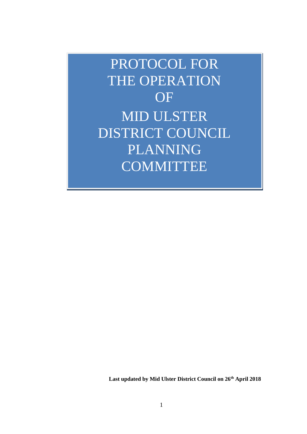PROTOCOL FOR THE OPERATION OF MID ULSTER DISTRICT COUNCIL PLANNING **COMMITTEE** 

**Last updated by Mid Ulster District Council on 26th April 2018**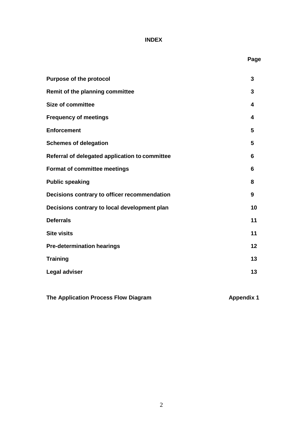# **INDEX**

|                                                | Page |
|------------------------------------------------|------|
| <b>Purpose of the protocol</b>                 | 3    |
| Remit of the planning committee                | 3    |
| <b>Size of committee</b>                       | 4    |
| <b>Frequency of meetings</b>                   | 4    |
| <b>Enforcement</b>                             | 5    |
| <b>Schemes of delegation</b>                   | 5    |
| Referral of delegated application to committee | 6    |
| <b>Format of committee meetings</b>            | 6    |
| <b>Public speaking</b>                         | 8    |
| Decisions contrary to officer recommendation   | 9    |
| Decisions contrary to local development plan   | 10   |
| <b>Deferrals</b>                               | 11   |
| <b>Site visits</b>                             | 11   |
| <b>Pre-determination hearings</b>              | 12   |
| <b>Training</b>                                | 13   |
| <b>Legal adviser</b>                           | 13   |

**The Application Process Flow Diagram Manufacturer 2018 12 Appendix 1**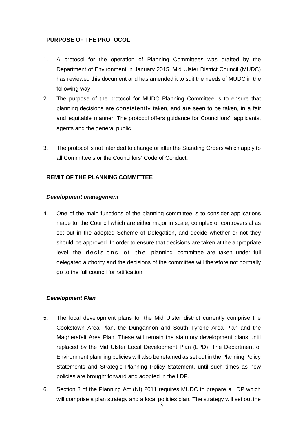## **PURPOSE OF THE PROTOCOL**

- 1. A protocol for the operation of Planning Committees was drafted by the Department of Environment in January 2015. Mid Ulster District Council (MUDC) has reviewed this document and has amended it to suit the needs of MUDC in the following way.
- 2. The purpose of the protocol for MUDC Planning Committee is to ensure that planning decisions are consistently taken, and are seen to be taken, in a fair and equitable manner. The protocol offers guidance for Councillors', applicants, agents and the general public
- 3. The protocol is not intended to change or alter the Standing Orders which apply to all Committee's or the Councillors' Code of Conduct.

## **REMIT OF THE PLANNING COMMITTEE**

#### *Development management*

4. One of the main functions of the planning committee is to consider applications made to the Council which are either major in scale, complex or controversial as set out in the adopted Scheme of Delegation, and decide whether or not they should be approved. In order to ensure that decisions are taken at the appropriate level, the decisions of the planning committee are taken under full delegated authority and the decisions of the committee will therefore not normally go to the full council for ratification.

## *Development Plan*

- 5. The local development plans for the Mid Ulster district currently comprise the Cookstown Area Plan, the Dungannon and South Tyrone Area Plan and the Magherafelt Area Plan. These will remain the statutory development plans until replaced by the Mid Ulster Local Development Plan (LPD). The Department of Environment planning policies will also be retained as set out in the Planning Policy Statements and Strategic Planning Policy Statement, until such times as new policies are brought forward and adopted in the LDP.
- 6. Section 8 of the Planning Act (NI) 2011 requires MUDC to prepare a LDP which will comprise a plan strategy and a local policies plan. The strategy will set out the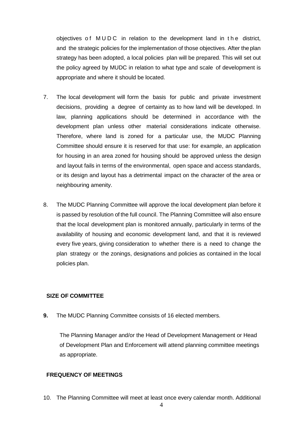objectives of MUDC in relation to the development land in the district, and the strategic policies for the implementation of those objectives. After the plan strategy has been adopted, a local policies plan will be prepared. This will set out the policy agreed by MUDC in relation to what type and scale of development is appropriate and where it should be located.

- 7. The local development will form the basis for public and private investment decisions, providing a degree of certainty as to how land will be developed. In law, planning applications should be determined in accordance with the development plan unless other material considerations indicate otherwise. Therefore, where land is zoned for a particular use, the MUDC Planning Committee should ensure it is reserved for that use: for example, an application for housing in an area zoned for housing should be approved unless the design and layout fails in terms of the environmental, open space and access standards, or its design and layout has a detrimental impact on the character of the area or neighbouring amenity.
- 8. The MUDC Planning Committee will approve the local development plan before it is passed by resolution of the full council. The Planning Committee will also ensure that the local development plan is monitored annually, particularly in terms of the availability of housing and economic development land, and that it is reviewed every five years, giving consideration to whether there is a need to change the plan strategy or the zonings, designations and policies as contained in the local policies plan.

## **SIZE OF COMMITTEE**

**9.** The MUDC Planning Committee consists of 16 elected members.

The Planning Manager and/or the Head of Development Management or Head of Development Plan and Enforcement will attend planning committee meetings as appropriate.

## **FREQUENCY OF MEETINGS**

10. The Planning Committee will meet at least once every calendar month. Additional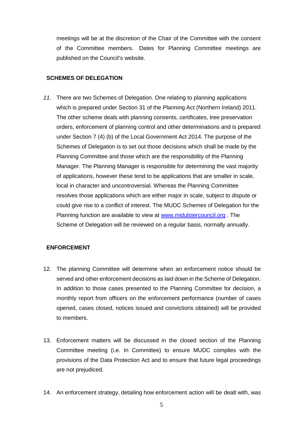meetings will be at the discretion of the Chair of the Committee with the consent of the Committee members. Dates for Planning Committee meetings are published on the Council's website.

## **SCHEMES OF DELEGATION**

*11.* There are two Schemes of Delegation. One relating to planning applications which is prepared under Section 31 of the Planning Act (Northern Ireland) 2011. The other scheme deals with planning consents, certificates, tree preservation orders, enforcement of planning control and other determinations and is prepared under Section 7 (4) (b) of the Local Government Act 2014. The purpose of the Schemes of Delegation is to set out those decisions which shall be made by the Planning Committee and those which are the responsibility of the Planning Manager. The Planning Manager is responsible for determining the vast majority of applications, however these tend to be applications that are smaller in scale, local in character and uncontroversial. Whereas the Planning Committee resolves those applications which are either major in scale, subject to dispute or could give rise to a conflict of interest. The MUDC Schemes of Delegation for the Planning function are available to view at www.midulstercouncil.org . The Scheme of Delegation will be reviewed on a regular basis, normally annually.

## **ENFORCEMENT**

- 12. The planning Committee will determine when an enforcement notice should be served and other enforcement decisions as laid down in the Scheme of Delegation. In addition to those cases presented to the Planning Committee for decision, a monthly report from officers on the enforcement performance (number of cases opened, cases closed, notices issued and convictions obtained) will be provided to members.
- 13. Enforcement matters will be discussed in the closed section of the Planning Committee meeting (i.e. In Committee) to ensure MUDC complies with the provisions of the Data Protection Act and to ensure that future legal proceedings are not prejudiced.
- 14. An enforcement strategy, detailing how enforcement action will be dealt with, was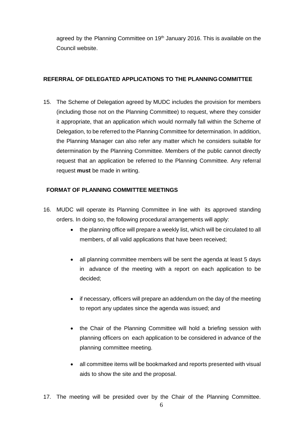agreed by the Planning Committee on 19<sup>th</sup> January 2016. This is available on the Council website.

## **REFERRAL OF DELEGATED APPLICATIONS TO THE PLANNING COMMITTEE**

15. The Scheme of Delegation agreed by MUDC includes the provision for members (including those not on the Planning Committee) to request, where they consider it appropriate, that an application which would normally fall within the Scheme of Delegation, to be referred to the Planning Committee for determination. In addition, the Planning Manager can also refer any matter which he considers suitable for determination by the Planning Committee. Members of the public cannot directly request that an application be referred to the Planning Committee. Any referral request **must** be made in writing.

## **FORMAT OF PLANNING COMMITTEE MEETINGS**

- 16. MUDC will operate its Planning Committee in line with its approved standing orders. In doing so, the following procedural arrangements will apply:
	- the planning office will prepare a weekly list, which will be circulated to all members, of all valid applications that have been received;
	- all planning committee members will be sent the agenda at least 5 days in advance of the meeting with a report on each application to be decided;
	- if necessary, officers will prepare an addendum on the day of the meeting to report any updates since the agenda was issued; and
	- the Chair of the Planning Committee will hold a briefing session with planning officers on each application to be considered in advance of the planning committee meeting.
	- all committee items will be bookmarked and reports presented with visual aids to show the site and the proposal.
- 17. The meeting will be presided over by the Chair of the Planning Committee.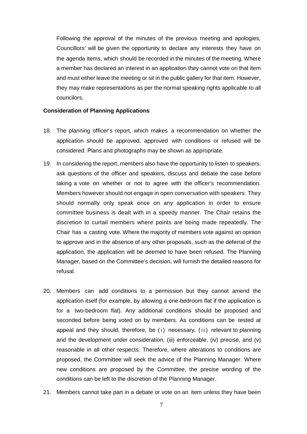Following the approval of the minutes of the previous meeting and apologies, Councillors' will be given the opportunity to declare any interests they have on the agenda items, which should be recorded in the minutes of the meeting. Where a member has declared an interest in an application they cannot vote on that item and must either leave the meeting or sit in the public gallery for that item. However, they may make representations as per the normal speaking rights applicable to all councilors.

#### **Consideration of Planning Applications**

- 18. The planning officer's report, which makes a recommendation on whether the application should be approved, approved with conditions or refused will be considered. Plans and photographs may be shown as appropriate.
- 19. In considering the report, members also have the opportunity to listen to speakers, ask questions of the officer and speakers, discuss and debate the case before taking a vote on whether or not to agree with the officer's recommendation. Members however should not engage in open conversation with speakers. They should normally only speak once on any application in order to ensure committee business is dealt with in a speedy manner. The Chair retains the discretion to curtail members where points are being made repeatedly. The Chair has a casting vote. Where the majority of members vote against an opinion to approve and in the absence of any other proposals, such as the deferral of the application, the application will be deemed to have been refused. The Planning Manager, based on the Committee's decision, will furnish the detailed reasons for refusal.
- 20. Members can add conditions to a permission but they cannot amend the application itself (for example, by allowing a one-bedroom flat if the application is for a two-bedroom flat). Any additional conditions should be proposed and seconded before being voted on by members. As conditions can be tested at appeal and they should, therefore, be (i) necessary, (ii) relevant to planning and the development under consideration, (iii) enforceable, (iv) precise, and (v) reasonable in all other respects. Therefore, where alterations to conditions are proposed, the Committee will seek the advice of the Planning Manager. Where new conditions are proposed by the Committee, the precise wording of the conditions can be left to the discretion of the Planning Manager.
- 21. Members cannot take part in a debate or vote on an item unless they have been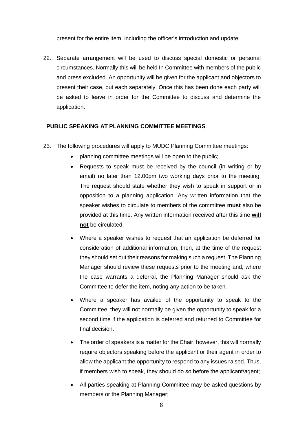present for the entire item, including the officer's introduction and update.

22. Separate arrangement will be used to discuss special domestic or personal circumstances. Normally this will be held In Committee with members of the public and press excluded. An opportunity will be given for the applicant and objectors to present their case, but each separately. Once this has been done each party will be asked to leave in order for the Committee to discuss and determine the application.

#### **PUBLIC SPEAKING AT PLANNING COMMITTEE MEETINGS**

- 23. The following procedures will apply to MUDC Planning Committee meetings:
	- planning committee meetings will be open to the public;
	- Requests to speak must be received by the council (in writing or by email) no later than 12.00pm two working days prior to the meeting. The request should state whether they wish to speak in support or in opposition to a planning application. Any written information that the speaker wishes to circulate to members of the committee **must** also be provided at this time. Any written information received after this time **will not** be circulated;
	- Where a speaker wishes to request that an application be deferred for consideration of additional information, then, at the time of the request they should set out their reasons for making such a request. The Planning Manager should review these requests prior to the meeting and, where the case warrants a deferral, the Planning Manager should ask the Committee to defer the item, noting any action to be taken.
	- Where a speaker has availed of the opportunity to speak to the Committee, they will not normally be given the opportunity to speak for a second time if the application is deferred and returned to Committee for final decision.
	- The order of speakers is a matter for the Chair, however, this will normally require objectors speaking before the applicant or their agent in order to allow the applicant the opportunity to respond to any issues raised. Thus, if members wish to speak, they should do so before the applicant/agent;
	- All parties speaking at Planning Committee may be asked questions by members or the Planning Manager;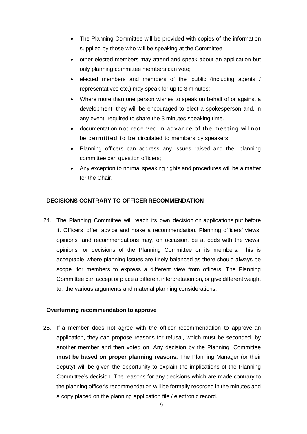- The Planning Committee will be provided with copies of the information supplied by those who will be speaking at the Committee;
- other elected members may attend and speak about an application but only planning committee members can vote;
- $\bullet$  elected members and members of the public (including agents / representatives etc.) may speak for up to 3 minutes;
- Where more than one person wishes to speak on behalf of or against a development, they will be encouraged to elect a spokesperson and, in any event, required to share the 3 minutes speaking time.
- documentation not received in advance of the meeting will not be permitted to be circulated to members by speakers;
- Planning officers can address any issues raised and the planning committee can question officers;
- Any exception to normal speaking rights and procedures will be a matter for the Chair.

## **DECISIONS CONTRARY TO OFFICER RECOMMENDATION**

24. The Planning Committee will reach its own decision on applications put before it. Officers offer advice and make a recommendation. Planning officers' views, opinions and recommendations may, on occasion, be at odds with the views, opinions or decisions of the Planning Committee or its members. This is acceptable where planning issues are finely balanced as there should always be scope for members to express a different view from officers. The Planning Committee can accept or place a different interpretation on, or give different weight to, the various arguments and material planning considerations.

## **Overturning recommendation to approve**

25. If a member does not agree with the officer recommendation to approve an application, they can propose reasons for refusal, which must be seconded by another member and then voted on. Any decision by the Planning Committee **must be based on proper planning reasons.** The Planning Manager (or their deputy) will be given the opportunity to explain the implications of the Planning Committee's decision. The reasons for any decisions which are made contrary to the planning officer's recommendation will be formally recorded in the minutes and a copy placed on the planning application file / electronic record.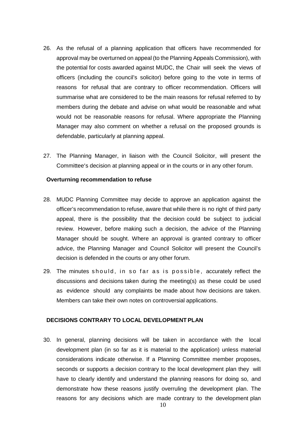- 26. As the refusal of a planning application that officers have recommended for approval may be overturned on appeal (to the Planning Appeals Commission), with the potential for costs awarded against MUDC, the Chair will seek the views of officers (including the council's solicitor) before going to the vote in terms of reasons for refusal that are contrary to officer recommendation. Officers will summarise what are considered to be the main reasons for refusal referred to by members during the debate and advise on what would be reasonable and what would not be reasonable reasons for refusal. Where appropriate the Planning Manager may also comment on whether a refusal on the proposed grounds is defendable, particularly at planning appeal.
- 27. The Planning Manager, in liaison with the Council Solicitor, will present the Committee's decision at planning appeal or in the courts or in any other forum.

#### **Overturning recommendation to refuse**

- 28. MUDC Planning Committee may decide to approve an application against the officer's recommendation to refuse, aware that while there is no right of third party appeal, there is the possibility that the decision could be subject to judicial review. However, before making such a decision, the advice of the Planning Manager should be sought. Where an approval is granted contrary to officer advice, the Planning Manager and Council Solicitor will present the Council's decision is defended in the courts or any other forum.
- 29. The minutes should, in so far as is possible, accurately reflect the discussions and decisions taken during the meeting(s) as these could be used as evidence should any complaints be made about how decisions are taken. Members can take their own notes on controversial applications.

#### **DECISIONS CONTRARY TO LOCAL DEVELOPMENT PLAN**

30. In general, planning decisions will be taken in accordance with the local development plan (in so far as it is material to the application) unless material considerations indicate otherwise. If a Planning Committee member proposes, seconds or supports a decision contrary to the local development plan they will have to clearly identify and understand the planning reasons for doing so, and demonstrate how these reasons justify overruling the development plan. The reasons for any decisions which are made contrary to the development plan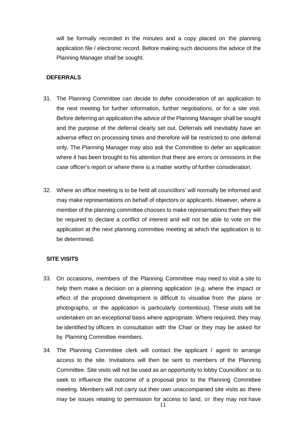will be formally recorded in the minutes and a copy placed on the planning application file / electronic record. Before making such decisions the advice of the Planning Manager shall be sought.

## **DEFERRALS**

- 31. The Planning Committee can decide to defer consideration of an application to the next meeting for further information, further negotiations, or for a site visit. Before deferring an application the advice of the Planning Manager shall be sought and the purpose of the deferral clearly set out. Deferrals will inevitably have an adverse effect on processing times and therefore will be restricted to one deferral only. The Planning Manager may also ask the Committee to defer an application where it has been brought to his attention that there are errors or omissions in the case officer's report or where there is a matter worthy of further consideration.
- 32. Where an office meeting is to be held all councillors' will normally be informed and may make representations on behalf of objectors or applicants. However, where a member of the planning committee chooses to make representations then they will be required to declare a conflict of interest and will not be able to vote on the application at the next planning committee meeting at which the application is to be determined.

### **SITE VISITS**

- 33. On occasions, members of the Planning Committee may need to visit a site to help them make a decision on a planning application (e.g. where the impact or effect of the proposed development is difficult to visualise from the plans or photographs, or the application is particularly contentious). These visits will be undertaken on an exceptional basis where appropriate. Where required, they may be identified by officers in consultation with the Chair or they may be asked for by Planning Committee members.
- 34. The Planning Committee clerk will contact the applicant / agent to arrange access to the site. Invitations will then be sent to members of the Planning Committee. Site visits will not be used as an opportunity to lobby Councillors' or to seek to influence the outcome of a proposal prior to the Planning Committee meeting. Members will not carry out their own unaccompanied site visits as there may be issues relating to permission for access to land, or they may not have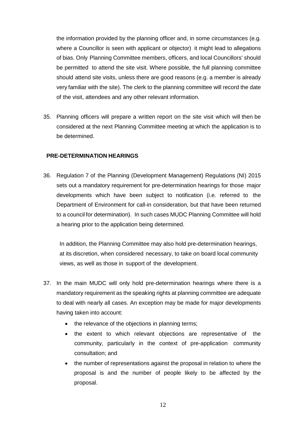the information provided by the planning officer and, in some circumstances (e.g. where a Councillor is seen with applicant or objector) it might lead to allegations of bias. Only Planning Committee members, officers, and local Councillors' should be permitted to attend the site visit. Where possible, the full planning committee should attend site visits, unless there are good reasons (e.g. a member is already very familiar with the site). The clerk to the planning committee will record the date of the visit, attendees and any other relevant information.

35. Planning officers will prepare a written report on the site visit which will then be considered at the next Planning Committee meeting at which the application is to be determined.

## **PRE-DETERMINATION HEARINGS**

36. Regulation 7 of the Planning (Development Management) Regulations (NI) 2015 sets out a mandatory requirement for pre-determination hearings for those major developments which have been subject to notification (i.e. referred to the Department of Environment for call-in consideration, but that have been returned to a council for determination). In such cases MUDC Planning Committee will hold a hearing prior to the application being determined.

In addition, the Planning Committee may also hold pre-determination hearings, at its discretion, when considered necessary, to take on board local community views, as well as those in support of the development.

- 37. In the main MUDC will only hold pre-determination hearings where there is a mandatory requirement as the speaking rights at planning committee are adequate to deal with nearly all cases. An exception may be made for major developments having taken into account:
	- the relevance of the objections in planning terms;
	- the extent to which relevant objections are representative of the community, particularly in the context of pre-application community consultation; and
	- the number of representations against the proposal in relation to where the proposal is and the number of people likely to be affected by the proposal.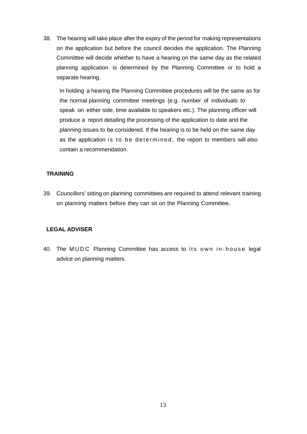38. The hearing will take place after the expiry of the period for making representations on the application but before the council decides the application. The Planning Committee will decide whether to have a hearing on the same day as the related planning application is determined by the Planning Committee or to hold a separate hearing.

In holding a hearing the Planning Committee procedures will be the same as for the normal planning committee meetings (e.g. number of individuals to speak on either side, time available to speakers etc.). The planning officer will produce a report detailing the processing of the application to date and the planning issues to be considered. If the hearing is to be held on the same day as the application is to be determined, the report to members will also contain a recommendation.

## **TRAINING**

39. Councillors' sitting on planning committees are required to attend relevant training on planning matters before they can sit on the Planning Committee.

## **LEGAL ADVISER**

40. The MUDC Planning Committee has access to its own in-house legal advice on planning matters.